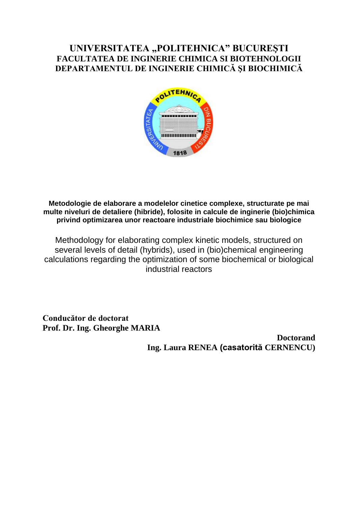## **UNIVERSITATEA "POLITEHNICA" BUCUREŞTI FACULTATEA DE INGINERIE CHIMICA SI BIOTEHNOLOGII DEPARTAMENTUL DE INGINERIE CHIMICĂ ŞI BIOCHIMICĂ**



**Metodologie de elaborare a modelelor cinetice complexe, structurate pe mai multe niveluri de detaliere (hibride), folosite in calcule de inginerie (bio)chimica privind optimizarea unor reactoare industriale biochimice sau biologice**

Methodology for elaborating complex kinetic models, structured on several levels of detail (hybrids), used in (bio)chemical engineering calculations regarding the optimization of some biochemical or biological industrial reactors

**Conducător de doctorat Prof. Dr. Ing. Gheorghe MARIA** 

> **Doctorand Ing. Laura RENEA (casatorită CERNENCU)**